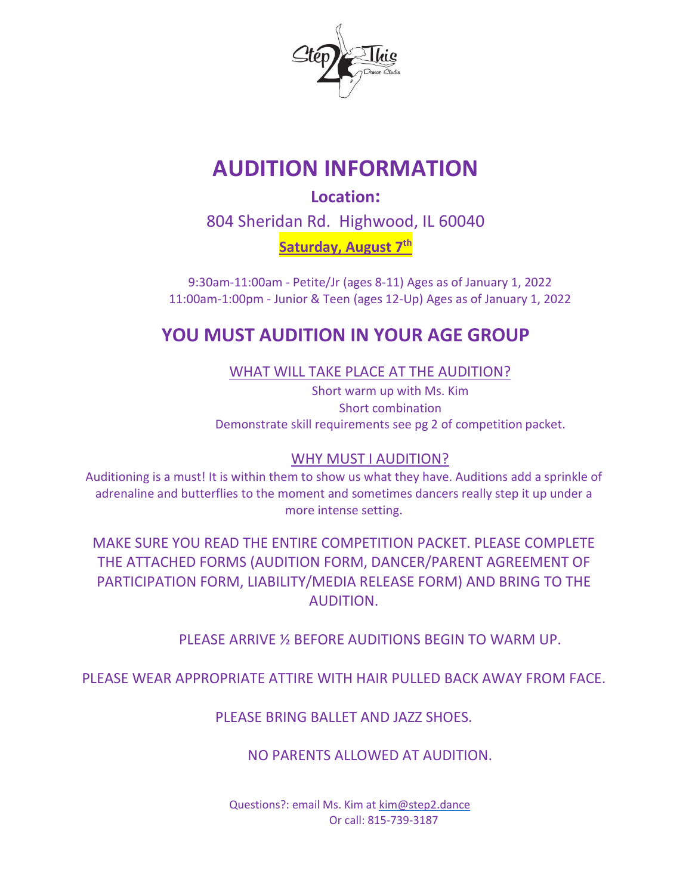

# **AUDITION INFORMATION**

**Location:** 804 Sheridan Rd. Highwood, IL 60040

Saturday, August 7<sup>th</sup>

9:30am-11:00am - Petite/Jr (ages 8-11) Ages as of January 1, 2022 11:00am-1:00pm - Junior & Teen (ages 12-Up) Ages as of January 1, 2022

## **YOU MUST AUDITION IN YOUR AGE GROUP**

WHAT WILL TAKE PLACE AT THE AUDITION?

Short warm up with Ms. Kim Short combination Demonstrate skill requirements see pg 2 of competition packet.

### WHY MUST I AUDITION?

Auditioning is a must! It is within them to show us what they have. Auditions add a sprinkle of adrenaline and butterflies to the moment and sometimes dancers really step it up under a more intense setting.

MAKE SURE YOU READ THE ENTIRE COMPETITION PACKET. PLEASE COMPLETE THE ATTACHED FORMS (AUDITION FORM, DANCER/PARENT AGREEMENT OF PARTICIPATION FORM, LIABILITY/MEDIA RELEASE FORM) AND BRING TO THE AUDITION.

PLEASE ARRIVE ½ BEFORE AUDITIONS BEGIN TO WARM UP.

PLEASE WEAR APPROPRIATE ATTIRE WITH HAIR PULLED BACK AWAY FROM FACE.

PI FASE BRING BALLET AND JAZZ SHOES.

NO PARENTS ALLOWED AT AUDITION.

Questions?: email Ms. Kim at [kim@step2.dance](mailto:kim@step2.dance) Or call: 815-739-3187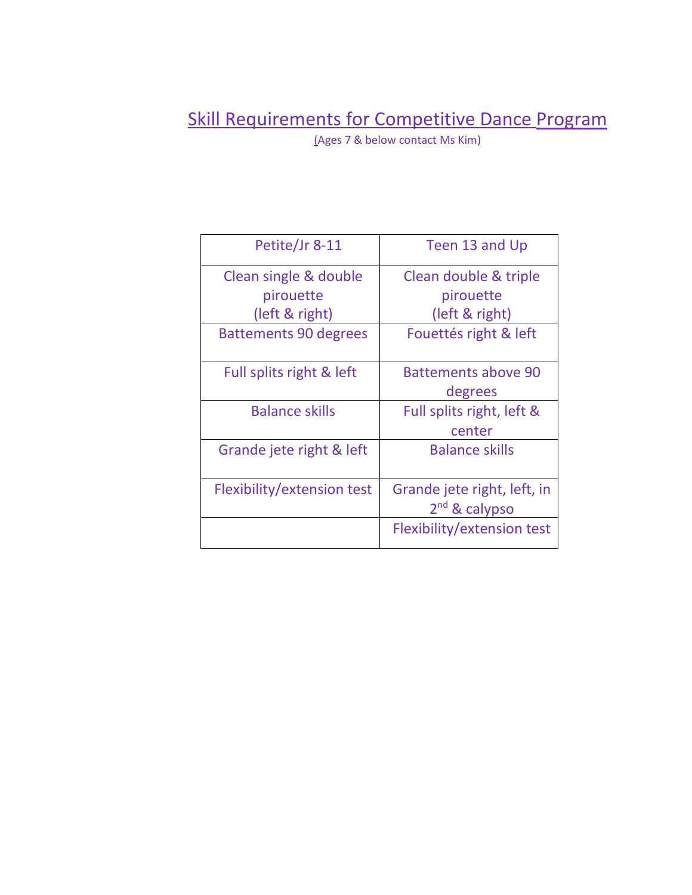## Skill Requirements for Competitive Dance Program

(Ages 7 & below contact Ms Kim)

| Petite/Jr 8-11               | Teen 13 and Up              |
|------------------------------|-----------------------------|
| Clean single & double        | Clean double & triple       |
| pirouette                    | pirouette                   |
| (left & right)               | (left & right)              |
| <b>Battements 90 degrees</b> | Fouettés right & left       |
| Full splits right & left     | <b>Battements above 90</b>  |
|                              | degrees                     |
| <b>Balance skills</b>        | Full splits right, left &   |
|                              | center                      |
| Grande jete right & left     | <b>Balance skills</b>       |
| Flexibility/extension test   | Grande jete right, left, in |
|                              | 2 <sup>nd</sup> & calypso   |
|                              | Flexibility/extension test  |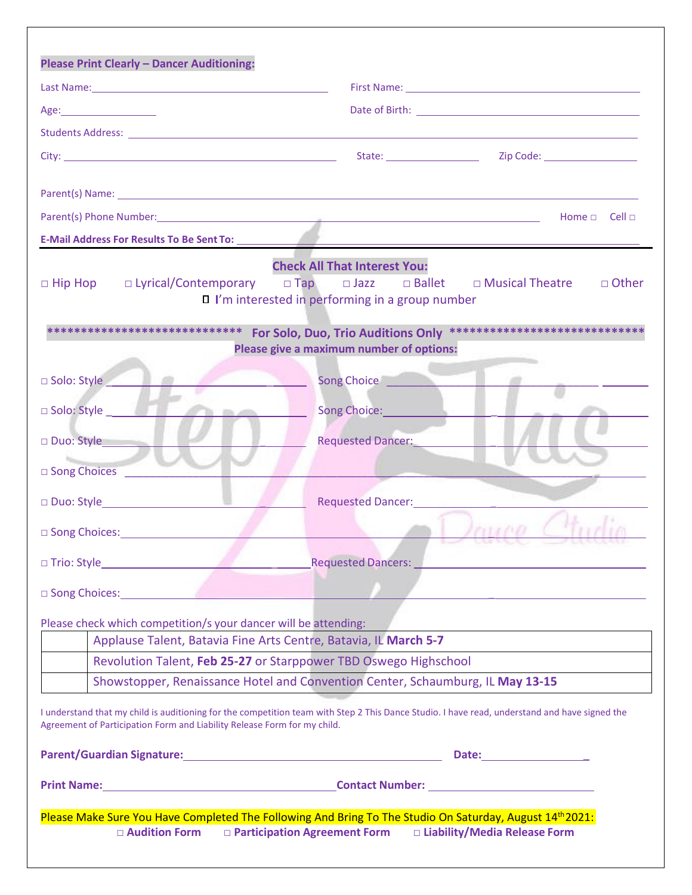| Parent(s) Name: 1988 and 2008 and 2008 and 2008 and 2008 and 2008 and 2008 and 2008 and 2008 and 2008 and 2008                                                                                                                      |                                                                                                               |                         |
|-------------------------------------------------------------------------------------------------------------------------------------------------------------------------------------------------------------------------------------|---------------------------------------------------------------------------------------------------------------|-------------------------|
|                                                                                                                                                                                                                                     |                                                                                                               | Home $\Box$ Cell $\Box$ |
|                                                                                                                                                                                                                                     |                                                                                                               |                         |
| $\Box$ Hip Hop                                                                                                                                                                                                                      | <b>Check All That Interest You:</b><br>$\Box$ I'm interested in performing in a group number                  | □ Other                 |
| ***************************                                                                                                                                                                                                         | For Solo, Duo, Trio Auditions Only ******************************<br>Please give a maximum number of options: |                         |
| □ Solo: Style                                                                                                                                                                                                                       | Song Choice <b>Constant</b>                                                                                   |                         |
| Solo: Style<br><b>CONSULT</b>                                                                                                                                                                                                       | Song Choice: Management Changes                                                                               |                         |
|                                                                                                                                                                                                                                     |                                                                                                               |                         |
| Duo: Style                                                                                                                                                                                                                          | Requested Dancer:<br><u>Internal parts</u>                                                                    |                         |
| Song Choices <b>Constant Charles</b>                                                                                                                                                                                                |                                                                                                               |                         |
|                                                                                                                                                                                                                                     | Requested Dancer: Neglected Bancer:                                                                           |                         |
| □ Song Choices: <u>New York New York New York New York New York New York New York New York New York New York New York New York New York New York New York New York New York New York New York New York New York New York New Yo</u> |                                                                                                               | 111100                  |
|                                                                                                                                                                                                                                     |                                                                                                               |                         |
|                                                                                                                                                                                                                                     |                                                                                                               |                         |
| song Choices: Electronic Changes and Changes and Changes and Changes and Changes and Changes and Changes and Changes and Changes and Changes and Changes and Changes and Changes and Changes and Changes and Changes and Chang      |                                                                                                               |                         |
| Please check which competition/s your dancer will be attending:                                                                                                                                                                     |                                                                                                               |                         |
|                                                                                                                                                                                                                                     | Applause Talent, Batavia Fine Arts Centre, Batavia, IL March 5-7                                              |                         |
|                                                                                                                                                                                                                                     | Revolution Talent, Feb 25-27 or Starppower TBD Oswego Highschool                                              |                         |
|                                                                                                                                                                                                                                     | Showstopper, Renaissance Hotel and Convention Center, Schaumburg, IL May 13-15                                |                         |
| I understand that my child is auditioning for the competition team with Step 2 This Dance Studio. I have read, understand and have signed the<br>Agreement of Participation Form and Liability Release Form for my child.           |                                                                                                               |                         |
| Parent/Guardian Signature: Manual Community of Parent/Guardian Signature:                                                                                                                                                           |                                                                                                               |                         |
|                                                                                                                                                                                                                                     |                                                                                                               |                         |
|                                                                                                                                                                                                                                     |                                                                                                               |                         |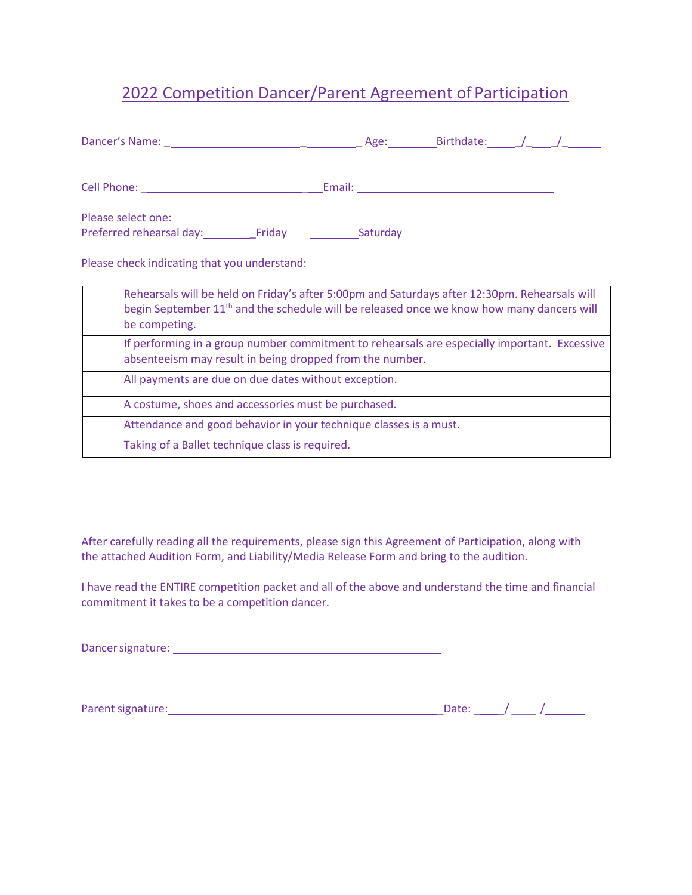## 2022 Competition Dancer/Parent Agreement of Participation

| Please select one:<br>Preferred rehearsal day: Friday Caturday                                                                                                                                                          |  |  |  |  |
|-------------------------------------------------------------------------------------------------------------------------------------------------------------------------------------------------------------------------|--|--|--|--|
| Please check indicating that you understand:                                                                                                                                                                            |  |  |  |  |
| Rehearsals will be held on Friday's after 5:00pm and Saturdays after 12:30pm. Rehearsals will<br>begin September 11 <sup>th</sup> and the schedule will be released once we know how many dancers will<br>be competing. |  |  |  |  |
| If performing in a group number commitment to rehearsals are especially important. Excessive<br>absenteeism may result in being dropped from the number.                                                                |  |  |  |  |
| All payments are due on due dates without exception.                                                                                                                                                                    |  |  |  |  |
| A costume, shoes and accessories must be purchased.                                                                                                                                                                     |  |  |  |  |
| Attendance and good behavior in your technique classes is a must.                                                                                                                                                       |  |  |  |  |

Taking of a Ballet technique class is required.

After carefully reading all the requirements, please sign this Agreement of Participation, along with the attached Audition Form, and Liability/Media Release Form and bring to the audition.

I have read the ENTIRE competition packet and all of the above and understand the time and financial commitment it takes to be a competition dancer.

Dancersignature:

Parentsignature: \_Date: \_ \_/ \_\_\_\_ /

| Date: |  |  |
|-------|--|--|
|-------|--|--|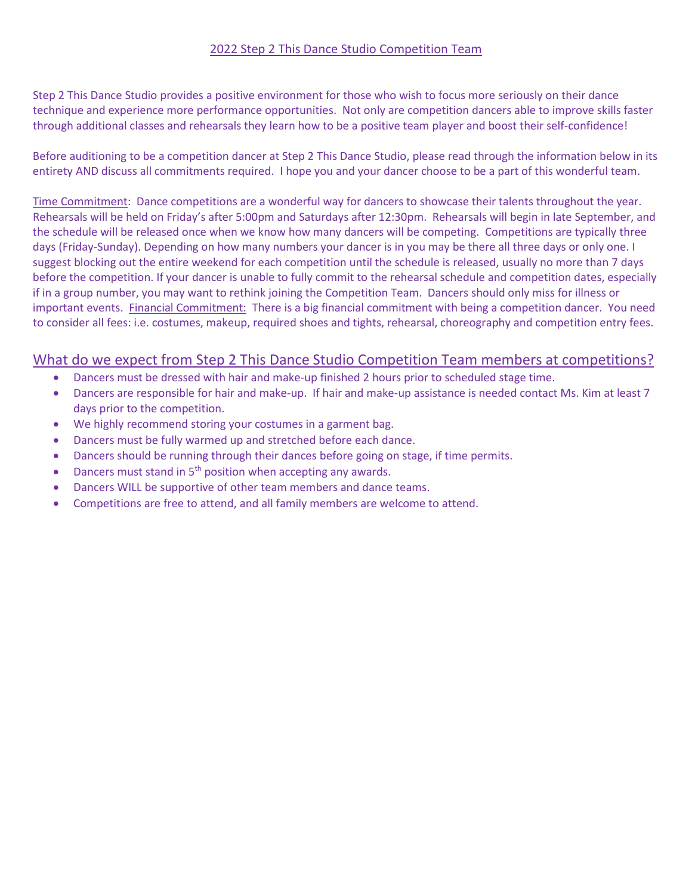### 2022 Step 2 This Dance Studio Competition Team

Step 2 This Dance Studio provides a positive environment for those who wish to focus more seriously on their dance technique and experience more performance opportunities. Not only are competition dancers able to improve skills faster through additional classes and rehearsals they learn how to be a positive team player and boost their self-confidence!

Before auditioning to be a competition dancer at Step 2 This Dance Studio, please read through the information below in its entirety AND discuss all commitments required. I hope you and your dancer choose to be a part of this wonderful team.

Time Commitment: Dance competitions are a wonderful way for dancers to showcase their talents throughout the year. Rehearsals will be held on Friday's after 5:00pm and Saturdays after 12:30pm. Rehearsals will begin in late September, and the schedule will be released once when we know how many dancers will be competing. Competitions are typically three days (Friday-Sunday). Depending on how many numbers your dancer is in you may be there all three days or only one. I suggest blocking out the entire weekend for each competition until the schedule is released, usually no more than 7 days before the competition. If your dancer is unable to fully commit to the rehearsal schedule and competition dates, especially if in a group number, you may want to rethink joining the Competition Team. Dancers should only miss for illness or important events. Financial Commitment: There is a big financial commitment with being a competition dancer. You need to consider all fees: i.e. costumes, makeup, required shoes and tights, rehearsal, choreography and competition entry fees.

### What do we expect from Step 2 This Dance Studio Competition Team members at competitions?

- Dancers must be dressed with hair and make-up finished 2 hours prior to scheduled stage time.
- Dancers are responsible for hair and make-up. If hair and make-up assistance is needed contact Ms. Kim at least 7 days prior to the competition.
- We highly recommend storing your costumes in a garment bag.
- Dancers must be fully warmed up and stretched before each dance.
- Dancers should be running through their dances before going on stage, if time permits.
- Dancers must stand in 5<sup>th</sup> position when accepting any awards.
- Dancers WILL be supportive of other team members and dance teams.
- Competitions are free to attend, and all family members are welcome to attend.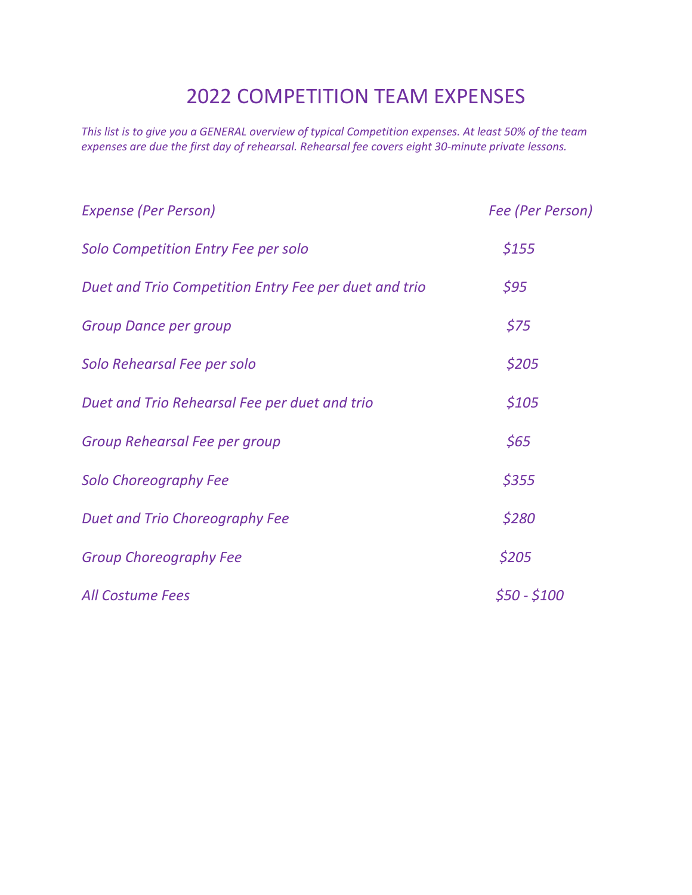## 2022 COMPETITION TEAM EXPENSES

*This list is to give you a GENERAL overview of typical Competition expenses. At least 50% of the team expenses are due the first day of rehearsal. Rehearsal fee covers eight 30-minute private lessons.*

| <b>Expense (Per Person)</b>                           | Fee (Per Person) |
|-------------------------------------------------------|------------------|
| Solo Competition Entry Fee per solo                   | \$155            |
| Duet and Trio Competition Entry Fee per duet and trio | \$95             |
| <b>Group Dance per group</b>                          | \$75             |
| Solo Rehearsal Fee per solo                           | \$205            |
| Duet and Trio Rehearsal Fee per duet and trio         | \$105            |
| Group Rehearsal Fee per group                         | \$65             |
| <b>Solo Choreography Fee</b>                          | \$355            |
| Duet and Trio Choreography Fee                        | \$280            |
| <b>Group Choreography Fee</b>                         | \$205            |
| <b>All Costume Fees</b>                               | \$50 - \$100     |